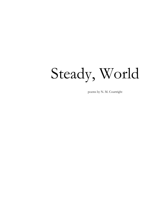# Steady, World

poems by N. M. Courtright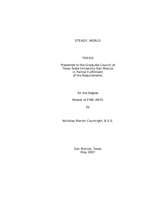### STEADY, WORLD

#### THESIS

Presented to the Graduate Council of Texas State University-San Marcos in Partial Fulfillment of the Requirements

for the Degree

#### Master of FINE ARTS

by

Nicholas Marvin Courtright, B.S.S.

San Marcos, Texas May 2007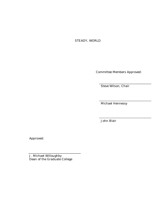## STEADY, WORLD

Committee Members Approved:

Steve Wilson, Chair

Michael Hennessy

John Blair

Approved:

J. Michael Willoughby Dean of the Graduate College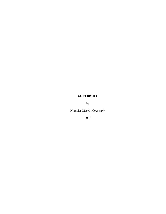## **COPYRIGHT**

by

Nicholas Marvin Courtright

2007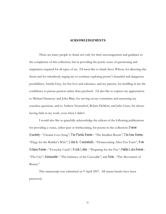#### **ACKNOWLEDGEMENTS**

There are many people to thank not only for their encouragement and guidance in the completion of this collection, but in providing the poetic sense of questioning and inspiration required for all types of art. I'd most like to thank Steve Wilson, for directing this thesis and for relentlessly urging me to continue exploring poetry's beautiful and dangerous possibilities, Amelia Gray, for her love and tolerance, and my parents, for instilling in me the confidence to pursue passion rather than paycheck. I'd also like to express my appreciation to Michael Hennessy and John Blair, for serving on my committee and answering my ceaseless questions, and to Andrew Neuendorf, Robert DeMott, and Julie Cruse, for always having faith in my work, even when I didn't.

I would also like to gratefully acknowledge the editors of the following publications for providing a venue, either past or forthcoming, for poems in this collection: *Denver Quarterly* : "Ukraine Love Song"; *The Florida Review* : "The Smallest Room"; *The Iowa Review* : "Elegy for the Builder's Wife"; *Lilies & Cannonballs* : "Homecoming After Ten Years"; *New Orleans Review* : "Everyday Crash"; *Ninth Letter* : "Preparing for the Fire"; *Pebble Lake Review* : "The City"; *Salamander* : "The Intimacy of the Crocodile"; and *Siren* : "The Movement of Beauty."

This manuscript was submitted on 9 April 2007. All stanza breaks have been preserved.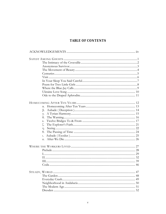## TABLE OF CONTENTS

| $\alpha$ . |  |
|------------|--|
| β.         |  |
| $\gamma$ . |  |
| δ.         |  |
| ε.         |  |
| ζ.         |  |
| $\eta$ .   |  |
| $\theta$ . |  |
| ι.         |  |
| κ.         |  |
|            |  |
|            |  |
|            |  |
|            |  |
|            |  |
|            |  |
|            |  |
|            |  |
|            |  |
|            |  |
|            |  |
|            |  |
|            |  |
|            |  |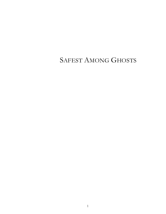# SAFEST AMONG GHOSTS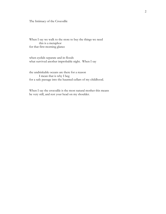The Intimacy of the Crocodile

When I say we walk to the store to buy the things we need this is a metaphor for that first morning glance

when eyelids separate and in floods what survived another improbable night. When I say

the undrinkable oceans are there for a reason I mean that is why I beg for a safe passage into the haunted cellars of my childhood.

When I say the crocodile is the most natural mother this means be very still, and rest your head on my shoulder.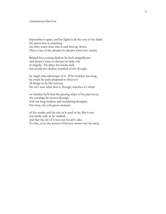#### Anonymous Survivor

September is quiet, and he fights it all the way to the drain. He stares into it, watching the dirty water stare into it and then go down. This is one of the dreams he dreams when he's awake.

Behind his evening shadow he feels insignificant, and doesn't want to discuss his little role in tragedy. He plays the future well, but avoids the skyline, terrified of the thought

he might take advantage of it. If he watches too long, he could be quite prepared to discover all things to be like heaven. He isn't sure what that is, though, whether it's white

or whether he'll find the passing ships of his past loves, the evenings he moves through with his long shadow and wandering thoughts. Far away, the soft green memory

of the studio and the city as it used to be, like it too was made only to be studied, and that the art of it was not for art's sake. To him, even the notion of heaven seems very far away.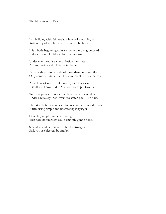#### The Movement of Beauty

In a building with thin walls, white walls, nothing is Rotten or joyless. In there is your careful body.

It is a body beginning at its center and moving outward. It does this until it fills a place its own size.

Under your head is a chest. Inside the chest Are gold coins and letters from the war.

Perhaps this chest is made of more than bone and flesh. Only some of this is true. For a moment, you are narrow

As a chute of steam. Like steam, you disappear. It is all you know to do. You are pieces put together

To make pieces. It is natural then that you would be Under a blue sky. See it want to watch you. The blue,

Blue sky. It finds you beautiful in a way it cannot describe. It tries using simple and unaffecting language:

Graceful, supple, innocent, strange. This does not impress you, a smooth, gentle body,

Steamlike and permissive. The sky struggles. Still, you are blessed, by and by.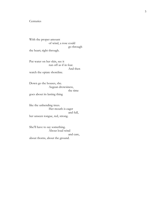#### **Centuries**

With the proper amount of wind, a rose could go through the heart; right through.

Put water on her skin, see it run off as if in fear. And then watch the opiate shoreline.

Down go the houses, she. Aegean drowsiness, the time goes about its lasting thing

like the unbending trees. Her mouth is eager and full, her unseen tongue, red, strong.

She'll have to say something. About loud wind and care, about thorns, about the ground.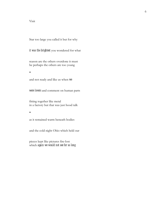#### Visit

Star too large you called it but for why

*it was the brightest* you wondered for what

reason are the others overdone it must be perhaps the others are too young

 $\bullet$ 

and not ready and like us when *we* 

*were lovers* and comment on human parts

fitting together like metal in a factory but that was just hood talk

 $\bullet$ 

as it remained warm beneath bodies

and the cold night Ohio which held our

pieces kept like pictures fire-lost which *again we would not see for so long*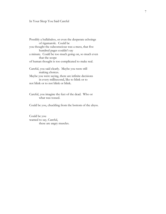#### In Your Sleep You Said Careful

Possibly a hullabaloo, or even the desperate echoings of rigamarole. Could be you thought the subconscious was a mess, that five hundred pages couldn't say a minute. Could be too much going on, so much even that the scope of human thought is too complicated to make real.

Careful, you said clearly. Maybe you were still making choices. Maybe you were saying, there are infinite decisions in every millisecond, like to blink or to not blink or to not blink or blink.

Careful, you imagine the feet of the dead. Who or what was tossed.

Could be you, chuckling from the bottom of the abyss.

Could be you wanted to say, Careful, these are angry muscles.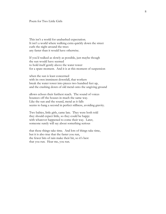#### Poem for Two Little Girls

This isn't a world for unabashed expectation. It isn't a world where walking extra quickly down the street curls the night around the trees any faster than it would have otherwise.

If you'd walked as slowly as possible, just maybe though the sun would have seemed to hold itself gently above the water tower for a spare moment. And it is at this moment of suspension

when the sun is least concerned with its own imminent downfall, that workers break the water tower into pieces two hundred feet up, and the crashing down of old metal onto the ungiving ground

allows echoes their furthest reach. The sound of voices bounces off the houses in much the same way. Like the sun and the sound, metal as it falls seems to hang a second in perfect stillness, avoiding gravity.

Two babies, little girls, came late. They were both told they should expect little, so they could be happy with whatever happened to come their way. Later, someone surely will say about something serious

that these things take time. And lots of things take time, but it is also true that the faster you run, the fewer bits of rain make their hit, so it's best that you run. Hear me, you run.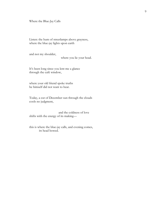Where the Blue-Jay Calls

Listen: the hum of streetlamps above grayness, where the blue-jay lights upon earth

and not my shoulder,

where you lie your head.

It's been long since you lent me a glance through the café window,

where your old friend spoke truths he himself did not want to hear.

Today, a cut of December sun through the clouds cools no judgment,

 and the coldness of love shifts with the energy of its making—

this is where the blue-jay calls, and evening comes, its head bowed.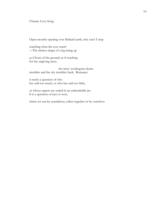#### Ukraine Love Song

Open mouths opening over flatland earth, why can't I stop

watching what the eyes want? —The tireless shape of a leg rising up

as if born of the ground, as if reaching for the ungiving trees:

the trees' woebegone desire trembles and the sky trembles back. Romance

is rarely a question of who has said too much, or who has said too little,

or whose regrets are sealed in an unbreakable jar. It is a question of east or west,

where we can be scandalous, either together or by ourselves.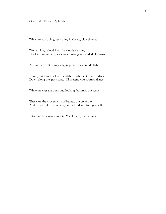Ode to the Draped Aphrodite

What are you doing, sexy thing in sheets, blue-skinned

Woman king, cloud-like, like clouds clasping Nooks of mountains, valley-swallowing and curled like arms

Across the chest. I'm going in, please lock and de-light

Upon your return, allow the night to whittle its sharp edges Down along the grass-tops. I'll pretend you rooftop dance

While my eyes are open and looking, but miss the scene.

These are the movements of beauty, the on and on. And what could anyone say, but be kind and fold yourself

Into this like a man cannot? You lie still, on the quilt.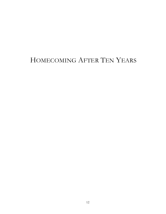# HOMECOMING AFTER TEN YEARS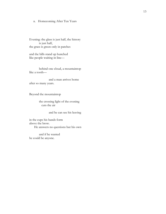#### α. Homecoming After Ten Years

Evening: the glass is just half, the history is just half, the grass is green only in patches

and the hills stand up hunched like people waiting in line—

behind one cloud, a mountaintop like a tooth—

and a man arrives home after so many years.

Beyond the mountaintop

the crossing light of the evening cuts the air

and he can see his leaving

in the cups his hands form above the brow. He answers no questions but his own

and if he wanted he could be anyone.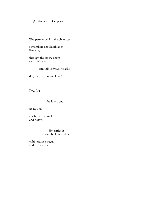#### β. Aubade ( Deception )

The person behind the character

remembers shoulderblades like wings

through the arrow-sharp alarm of dawn,

and this is what she asks:

do you love, do you love?

Fog, fog—

the low cloud

he rolls in

is whiter than milk and heavy.

> He carries it between buildings, down

cobblestone streets, and in his arms.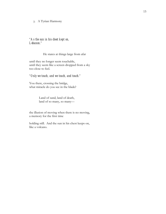#### γ. A Tyrian Harmony

#### *"As the sun in his chest kept on, Lebanon."*

#### He stares at things large from afar

until they no longer seem touchable, until they seem like a screen dropped from a sky too close to feel.

#### *"Only we touch, and we touch, and touch."*

You there, crossing the bridge, what miracle do you see in the blade?

> Land of sand, land of death, land of so many, so many—

the illusion of moving when there is no moving, a memory for the first time

holding still. And the sun in his chest keeps on, like a volcano.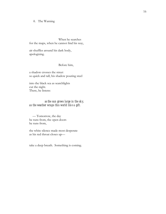#### δ. The Warning

When he searches for the maps, when he cannot find his way,

air shuffles around his dark body, apologizing.

Before him,

a shadow crosses the street so quick and tall, his shadow pouring steel

into the black sea as searchlights cut the night. There, he listens:

#### *as the sun grows large in the sky, as the weather wraps this world like a gift.*

 — Tomorrow, the day he runs from, the open doors he runs from,

the white silence made most desperate as his red throat closes up—

take a deep breath. Something is coming.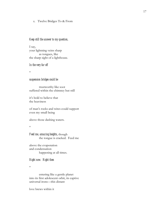ε. Twelve Bridges To & From

#### *Keep still the answer to my question,*

I say, your lightning veins sharp as tongues, like the sharp sight of a lighthouse.

#### *In the very far off*

\*

#### *suspension bridges could be*

trustworthy like soot suffered within the chimney but still

it's bold to believe that the heaviness

of man's rocks and wires could support even my small being

above those dashing waters.

#### \*

*Feed me, amazing heights*, though the tongue is cracked. Feed me

above the evaporation and condensation happening at all times.

#### *Right now. Right then*

\*

entering like a gentle planet into its first adolescent orbit, its captive universal irons—this distant

love brews within it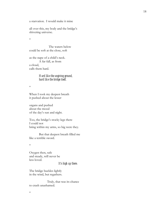a starvation. I would make it mine

all over this, my body and the bridge's shivering universe.

\*

The waters below could be soft at the close, soft

as the nape of a child's neck. A far fall, as from a cloud, calls them hard.

#### *Hard like the ungiving ground, hard like the bridge itself.*

\*

When I took my deepest breath it pushed about the lesser

organs and pushed about the mood of the day's sun and night.

Too, the bridge's stocky legs there I could not bring within my arms, so big were they.

But that deepest breath filled me like a terrible sword.

\*

Oxygen then, safe and steady, will never be less loved.

#### *It's high up there.*

The bridge buckles lightly in the wind, but regathers.

 Truly, that was its chance to crash unashamed.

\*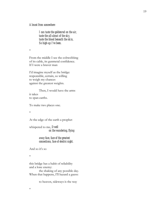*Almost from somewhere* 

*I can taste the goldenrod on the air, taste the all-about of the sky, taste the blood beneath the skin, So high-up I've been.*

\*

From the middle I see the cobwebbing of its cable, its gunmetal confidence. If I were a braver man

I'd imagine myself as the bridge: responsible, certain, so willing to weigh my chances against the greatest weights.

Then, I would have the arms it takes to span earths.

To make two places one.

\*

At the edge of the earth a prophet

whispered to me, *Dwell on the wandering, flying*

#### *away face, face of the greatest connections, face of electric night.*

And so it's so

\*

this bridge has a habit of reliability and a lone enemy:

the shaking of any possible day. When that happens, I'll hazard a guess:

to heaven, sideways is the way

\*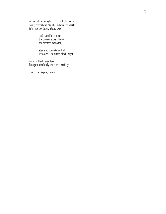it could be, maybe. It could be time for proverbial night. When it's dark it's just so dark, *Stand here*

> *and stand here, near the unseen edges. Face the greatest connector,*

*steel and concrete and all it means. Face this black night*

*with its black eyes, face it like you absolutely trust its electricity.*

But, I whisper, how?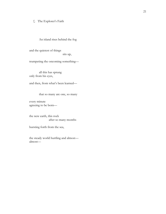ζ. The Explorer's Faith

An island rises behind the fog

and the quietest of things sits up,

trumpeting the oncoming something—

all this has sprung only from his eyes,

and then, from what's been learned—

that so many are one, so many

every minute agreeing to be born—

the new earth, this rock after so many months

bursting forth from the sea,

the steady world hurtling and almost almost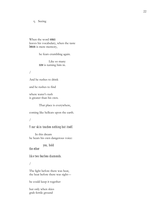η. Seeing

When the word *ocean* leaves his vocabulary, when the taste *lemon* is mere memory,

he fears crumbling again.

Like so many *now* is turning him in.

/

And he rushes to drink

and he rushes to find

where water's rush is greater than his own.

That place is everywhere,

coming like hellcats upon the earth.

/

#### *Your skin touches nothing but itself.*

 In this dream he hears his own dangerous voice:

*you, hold* 

*the ether*

*like two fearless diamonds.* 

#### /

The light before there was heat, the heat before there was sight—

he could keep it together

but only when skies grab fertile ground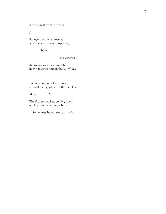wrenching it from the earth.

/

Strangest in the darknesses where shape is most misplaced,

a body.

He watches

the rolling water accomplish itself, how it touches nothing but *all of this*.

/

Forgiveness, curl of the inner ear, seashell mercy, winter of the nautilus—

Mercy. Mercy.

The sky approaches, coming down until he can feel it on his brow.

Sometimes he can see too much.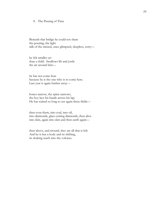#### θ. The Passing of Time

Beneath that bridge he could not share the pouring, the light talk of the missed, once glimpsed, sleepless, sorry—

he felt smaller yet than a child. Swallows lilt and jostle the air around him—

he has not come here because he is the one who is to come here. Last year is again further away—

bones narrow, the spine narrows, the boy lays his hands across his lap. He has waited so long to see again these fields—

then even them, into coal, into oil, into diamonds, glass-cutting diamonds, then alive into skin, again into skin and then earth again—

then above, and around, they are all that is left. And he is but a body and its shifting, its shaking reach into the volcano.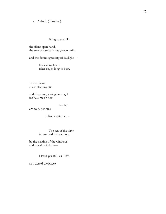#### ι. Aubade ( Exodus )

Bring to the hills

the silent open hand, the tree whose bark has grown unfit,

and the darkest greeting of daylight—

his leaking heart takes so, so long to beat.

In the dream she is sleeping still

and fearsome, a wingless angel inside a music box—

 her lips are cold, her face

is like a waterfall…

The sex of the night is removed by morning,

by the heating of the windows and catcalls of alarm—

#### *I loved you still, as I left,*

*as I crossed the bridge.*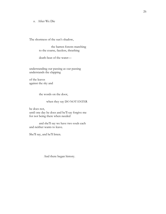κ. After We Die

The shortness of the sun's shadow,

 the barren forests marching to the coarse, faceless, thrashing

death-beat of the water—

understanding our passing as our passing understands the clapping

of the leaves against the sky and

the words on the door,

#### when they say DO NOT ENTER

he does not, until one day he does and he'll say forgive me for not being there when needed

and she'll say we have two souls each and neither wants to leave.

She'll say, and he'll listen.

And there began history.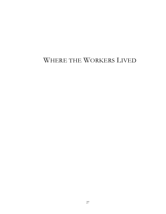# WHERE THE WORKERS LIVED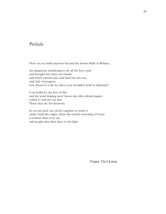# Prelude

How can we build anymore beyond the brown fields of Belarus,

the dangerous smoldering to-do all the boys eyed and brought into their own hands, and which carried cities and land into the sun, and, lady of progress, how drawn in is the icy dress your shoulders hold so delicately?

I can build for the love of this and the wind shaping trees' leaves into dirt-colored papers curled to wait for our feet. These days are for decisions.

So we put each one slowly together to watch it unday itself into night, where the careful scissoring of hours is warmer than every air, and people raise their faces to the light.

*Pripyat, The Ukraine*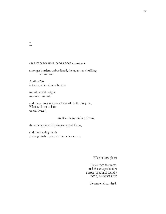I.

#### ( *Where he remained, he was made* ) most safe

amongst burdens unburdened, the quantum shuffling of time and

April of '86 is today, when absent breaths

mouth world-weight too much to last,

and these airs ( *We are not needed for this to go on*, *What we learn to hate we will learn* )

are like the moon in a dream,

the unwrapping of spring-wrapped forest,

and the shaking hands shaking birds from their branches above.

*When misery places* 

*its feet into the water, and the antagonist stirs unseen, he cannot soundly speak, he cannot utter* 

*the names of our dead.*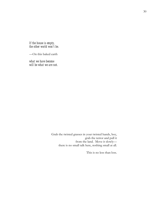*If the house is empty, the other world won't be.*

—On this baked earth

*what we have become will be what we are not.*

> Grab the twisted grasses in your twisted hands, boy, grab the terror and pull it from the land. Move it slowly there is no small talk here, nothing small at all.

> > This is no less than loss.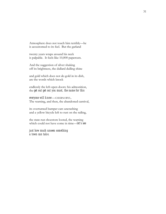Atmosphere does not touch him terribly—he is accustomed to its feel. But the garland

twenty years wraps around his neck is palpable. It feels like 10,000 papercuts.

And the suggestion of silver shaking off its brightness, the dullard dulling shine

and gold which does not de-gold in its dish, are the words which knock

endlessly the left-open doors: his admonition, the *get out get out you must, the name for this* 

#### *everyone will know*—CHERNOBYL.

The warning, and then, the abandoned carnival,

its overturned bumper cars uncrashing and a yellow bicycle left to rust on the railing,

the state-run shoestore looted, the warning which could not have come in time—*let's see* 

*just how much unseen something a town can take.*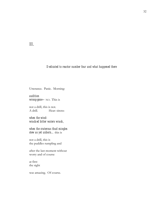II.

#### *Dedicated to reactor number four and what happened there*

Utterance. Panic. Morning:

*audition wrong-gone—*NO. This is

not a drill, this is not. A drill. Hear: sirens:

*when the windwracked bitter waters wrack,*

*when the craterous thud mingles stew as yet unborn…*this is

not a drill, this is the puddles rumpling and

after the last moment without worry and of course

at first the sight

was amazing. Of course.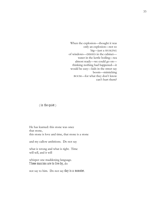When the explosion—thought it was only an explosion—not so big—just a SHAKING of windows—DISHES in the cabinet water in the kettle boiling—tea almost ready—we could go on thinking nothing had happened—it would be easy—kids in the street say boom—mimicking BOOM—for what they don't know can't hurt them?

#### ( *in the quiet* )

He has learned: this stone was once that stone, this stone is love and time, that stone is a stone

and my callow ambitions. Do not say

what is wrong and what is right. Time will tell, and it will

whisper one maddening language. *These maxims are to live by*, do

not say to him. Do not say *day is a monster*.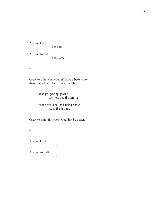Are you lost?

Yes I am.

Are you found? Yes, I am.

 $\bullet$ 

Crazy to think you wouldn't have a better room than this, a finer place to rest your head.

> *Danger upswing, groundswell effacing the turning*

*of the year, and the bulging cipher eye of the nucleus…*

Crazy to think this room wouldn't be better.

 $\bullet$ 

Are you lost?

I am.

Are you found? I am.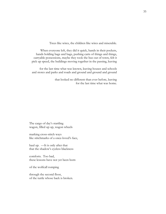Trees like wires, the children like wires and miserable.

When everyone left, they did it quick, hands in their pockets, hands holding bags and bags, pushing carts of things and things, carryable possessions, maybe they took the bus out of town, felt it pick up speed, the buildings moving together in the passing, leaving

 for the last time what was known, leaving houses and schools and stores and parks and roads and ground and ground and ground

> that looked no different than ever before, leaving for the last time what was home.

The cargo of day's startling wagon, filled up up, wagon wheels

marking cross-stitch ways like stitchmarks of a once-loved's face,

haul up. —It is only after that that the shadow's eyeless blackness

comforts. Too bad, these lessons have not yet been born

of the wolfcall romping

through the second floor, of the turtle whose back is broken.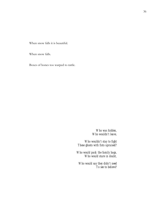When snow falls it is beautiful.

When snow falls.

Boxes of bones too warped to rattle.

*Who was hidden, Who wouldn't leave,* 

*Who wouldn't stay to fight These ghosts with fists upraised?*

*Who would pack the family bags, Who would stare in doubt,*

*Who would say they didn't need To see to believe?*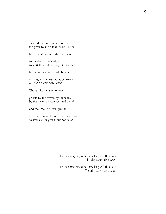Beyond the borders of this town is a giver to and a taker from. Ends,

births, middle-grounds, they came

to the dead zone's edge to start fires. What they did not burn

burnt later on its arrival elsewhere.

#### *All they mailed was burnt on arrival. All their names were burnt.*

Those who remain are new

ghosts by the tower, by the wheel, by the perfect shape sculpted by rain,

and the smell of fresh ground

after earth is sunk under with water forever can be given, but not taken.

> *Tell me now, city wind, how long will this take, To give away, give away?*

> *Tell me now, city wind, how long will this take, To take back, take back?*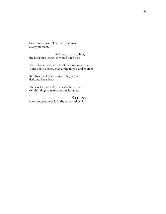Come away now. The start is to arrive at any moment,

 its long arms stretching the horizon's length, as would a red belt.

Time, like a dress, suffers alterations and is new. Voices, like a dress, snap at the thighs, and protect

the shyness of one's roots. They know darkness like a bow.

The clocks read 1:23; the stalks have dried. On thin fingers, nature counts its assets—

#### *Come away,*

your disappearance is in the cards. Allow it.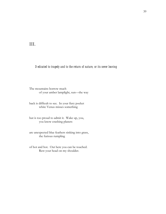III.

#### *Dedicated to tragedy and to the return of nature, or its never leaving*

The mountains borrow much of your amber lamplight, sun—the way

back is difficult to see. In your fiery pocket white Venus misses something

but is too proud to admit it. Wake up, you, you know crashing planets

are unexpected blue feathers sinking into grass, the furious rumpling

of hot and hot. Out here you can be touched. Rest your head on my shoulder.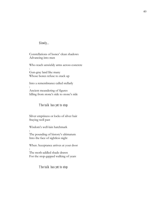#### *Slowly…*

:

:

:

Constellations of bones' clean shadows Advancing into men

Who reach unwieldy arms across concrete

Gun-gray land like many Whose bones refuse to stack up

Into a remembrance called stellarly

Ancient meandering of figures Idling from stone's side to stone's side

#### *The talk has yet to stop*

Silver emptiness or locks of silver hair Staying well past

Wisdom's well-lain hatchmark

The pounding of history's ultimatum Into the face of sightless night

When Acceptance arrives at your door :

The moth-addled shade drawn For the stop-gapped walking of years

#### *The talk has yet to stop*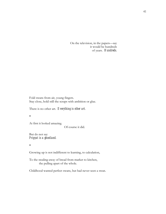On the television, in the papers—say it would be hundreds of years. *Hundreds*.

Fold swans from air, young fingers. Stay close, hold still the scraps with ambition or glue.

There is no other art. *Everything is other art.* 

 $\bullet$ 

At first it looked amazing.

Of course it did.

But do not say *Pripyat is a ghostland.* 

 $\bullet$ 

Growing up is not indifferent to learning, to calculation,

To the stealing-away of bread from market to kitchen, the pulling apart of the whole.

Childhood wanted perfect swans, but had never seen a swan.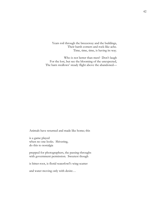Years roil through the breezeway and the buildings, Their harsh corners and rock-like ache. Time, time, time, is having its way.

Who is not better than men? Don't laugh For the lost, but see the blooming of the unexpected, The barn swallows' steady flight above the abandoned—

Animals have returned and made like home; this

is a game played when no one looks. Shivering, do this to nostalgia

prepped for photographers, the passing-throughs with government permission. Sweetest though

is bitter-root, is florid waterfowl's wing-scatter

and water moving only with desire…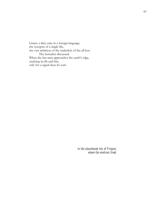Listen: a dirty joke in a foreign language, the synopsis of a single life, the vast ambition of the underfed, of the all-lost. The hereafter discussed: When the last man approaches the earth's edge, studying its lilt and bite, only for a signal does he wait.

> *to the abandoned city of Pripyat, where the workers lived.*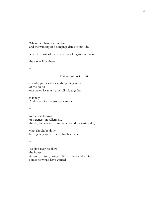When their hands are on fire and the wanting of belongings dares to subside,

when the taste of the weather is a long-awaited rain,

the city will be there.

 $\bullet$ 

#### Dangerous coat of skin,

skin-dappled earth-face, the peeling away of the onion one naked layer at a time, all this together

is family. And what hits the ground is music

 $\bullet$ 

to the touch down of bareness on sullenness, the dry endless sex of mountains and unceasing sky,

what should be done but a giving away of what has been made?

 $\bullet$ 

To give away: to allow the house its empty future, laying to lie the black and whites someone would have wanted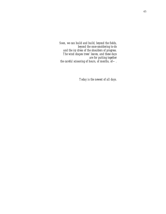*Soon, we can build and build, beyond the fields, beyond the once-smoldering to-do and the icy dress of the shoulders of progress. The wind shapes trees' leaves, and these days are for putting together the careful scissoring of hours, of months, of—.*

*Today is the newest of all days.*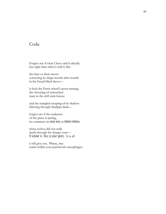# Coda

Forgive me if what I have said is already less right than when I said it, like

the here or there moon correcting its shape month after month in the brutal blind above—

it feels the Ferris wheel's never turning, the shivering of untouched seats in the stiff-stale breeze

and the mangled creeping of its shadow faltering through deadpan dusk—

forgive me if the nudeness of the pines is jarring, its comment on *once was* or *before before*,

when wolves did not walk daylit through the danger zone— *Number 4, this is your glory*. It is all

I will give you. Please, stay warm within your patchwork sarcophagus.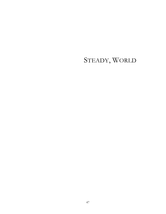# STEADY, WORLD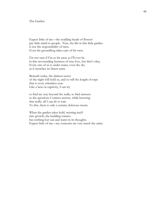#### The Garden

Expect little of me—the nodding heads of flowers pay little mind to people. True, the life in this little garden is not the responsibility of men. Even the groundhog takes care of his own.

I'm not sure if I'm as far away as I'll ever be in this neverending business of true love, but that's okay. Every one of us is under water, even the sky as it stretches its bluest arms.

Beneath today, the darkest secret of the night will hold us, and so will the length of rope that is every relentless year. Like a hero in captivity, I can try

to find my way beyond the walls, to find answers to the questions I cannot answer, while knowing that really, all I can do is wait. To this, there is only a certain, dolorous music.

When the garden takes hold, twisting itself into growth, the budding tomato has nothing but sun and water in its thoughts. Expect little of me—my concerns are very much the same.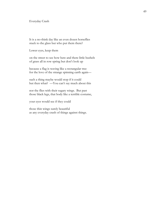Everyday Crash

It is a no-think day like an even dozen horseflies stuck to the glass but who put them there?

Lower eyes, keep them

on the street to see how here and there little bushels of grass all in row spring but don't look up

because a flag is waving like a rectangular tree for the love of the strange spinning earth again—

such a thing maybe would stop if it could but then what? —You can't say much about this

nor the flies with their sugary wings. But past those black legs, that body like a terrible costume,

your eyes would see if they could

those thin wings surely beautiful as any everyday crash of things against things.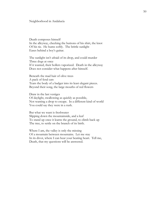#### Neighborhood in Andalucía

Death composes himself In the alleyway, checking the buttons of his shirt, the knot Of his tie. He hums softly. The brittle sunlight Eases behind a boy's guitar.

The sunlight isn't afraid of its drop, and could murder Three dogs at once If it wanted, their hollers vaporized. Death in the alleyway Does not consider what happens after himself.

Beneath the mad hair of olive trees A pack of feral cats Tears the body of a badger into its least elegant pieces. Beyond their song, the large mouths of red flowers

Draw in the last vestiges Of daylight, swallowing as quickly as possible, Not wanting a drop to escape. In a different kind of world You could say they were in a rush.

But what we want is freshwater Slipping down the mountainside, and a leaf To stand up once it learns the ground, to climb back up The tree, to settle on the branch of its birth.

Where I am, the valley is only the missing Of a mountain between mountains. Let me stay In its divot, where I can hear your beating heart. Tell me, Death, that my questions will be answered.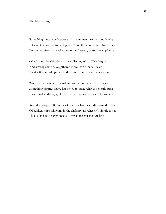#### The Modern Age

Something must have happened to make men into men and hawks Into lights upon the tops of pines. Something must have bade reward For human forms to rocket down the freeway, or for the angel-face

Of a fish on the ship-deck—the collecting of stuff has begun And already some have gathered more than others. Years Break off into little pieces, and damsels shout from their towers

Words which won't be heard, to wait behind while earth grows. Something big must have happened to make what is beneath burst Into colorless daylight, like firm clay roundest shapes roil into new

Roundest shapes. But none of our eyes have seen the twisted masts Of sunken ships billowing in the shifting salt, where it's simple to say *This is the best it's ever been, yes, this is the best it's ever been*.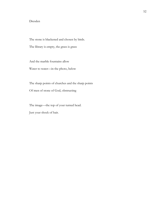#### Dresden

The stone is blackened and chosen by birds.

The library is empty, the grass is grass

And the marble fountains allow

Water to water—in the photo, below

The sharp points of churches and the sharp points Of men of stone of God, obstructing

The image—the top of your turned head.

Just your shock of hair.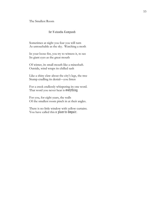The Smallest Room

#### *for Natascha Kampusch*

Sometimes at night you fear you will turn As untouchable as the sky. Watching a moth

In your loose fist, you try to witness it, to see Its giant eyes as the great mouth

Of winter, its small mouth like a mineshaft. Outside, wind wraps its chilled sash

Like a shiny claw about the city's legs, the tree Stump cradling its denial—you listen

For a creek endlessly whispering its one word. That word you never hear is *everything*.

For you, for eight years, the walls Of the smallest room pinch in at their angles.

There is no little window with yellow curtains. You have called this *a place to despair*.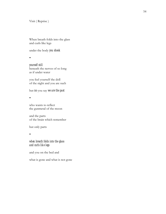Visit ( Reprise )

When breath folds into the glass and curls like legs

under the body *you shook*

 $\bullet$ 

*yourself still*  beneath the nerves of so long as if under water

you feel yourself the doll of the night and you are such

but *no* you say *we are the past*

 $\bullet$ 

who wants to reflect the gunmetal of the moon

and the parts of the brain which remember

but only parts

 $\bullet$ 

#### *when breath folds into the glass and curls like legs*

and you on the bed and

what is gone and what is not gone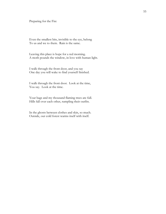Preparing for the Fire

Even the smallest bits, invisible to the eye, belong To us and we to them. Rain is the same.

Leaving this place is hope for a red morning. A moth pounds the window, in love with human light.

I walk through the front door, and you say One day you will wake to find yourself finished.

I walk through the front door. Look at the time, You say. Look at the time.

Your bags and my thousand flaming trees are full. Hills fall over each other, rumpling their outfits.

In the ghosts between clothes and skin, so much. Outside, our cold forest warms itself with itself.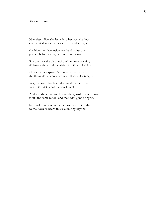#### Rhododendron

Nameless, alive, she leans into her own shadow even as it shames the tallest trees, and at night

she hides her face inside itself and waits: drypetaled before a rain, her body burns away.

She can hear the black echo of her love, packing its bags with her fallow whisper: this land has lost

all but its own space. So alone in the thicket: the thoughts of smoke, an open floor still orange…

Yes, the forest has been devoured by the flame. Yes, this quiet is not the usual quiet.

And yes, she waits, and knows the ghostly moon above is still the same moon, and that, with gentle fingers,

birth will take root in the rain to come. But, alas: to the flower's heart, this is a beating beyond.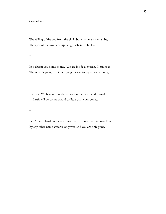#### **Condolences**

The falling of the jaw from the skull, bone-white as it must be, The eyes of the skull unsurprisingly ashamed, hollow.

 $\bullet$ 

In a dream you come to me. We are inside a church. I can hear The organ's pleas, its pipes urging me on, its pipes not letting go.

 $\bullet$ 

I see us. We become condensation on the pipe; world, world. —Earth will do so much and so little with your bones.

 $\bullet$ 

Don't be so hard on yourself; for the first time the river overflows. By any other name water is only wet, and you are only gone.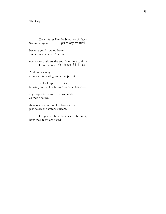#### The City

Touch faces like the blind touch faces. Say to everyone *you're very beautiful*

because you know no better. Forget mothers won't admit

everyone considers the end from time to time. Don't wonder *what it would feel like*.

And don't worry: at too-soon passing, most people fail.

So look up, lilac, before your neck is broken by expectation—

skyscraper faces mirror automobiles as they float by,

their steel swimming like barracudas just below the water's surface.

Do you see how their scales shimmer, how their teeth are bared?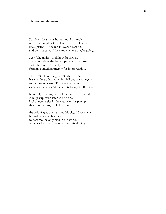Far from the artist's home, anthills tumble under the weight of dwelling, each small body like a piston. They run in every direction, and only he cares if they know where they're going.

See? The night—look how far it goes. He cannot deny the landscape as it carves itself from the sky, like a sculptor forming something merely for interpretation.

In the middle of the greatest city, no one has ever heard his name, but billions are strangers to their own hearts. That's when the sky clenches its fists, and the umbrellas open. But now,

he is only an artist, with all the time in the world. A huge explosion later and no one looks anyone else in the eye. Months pile up their ultimatums, while like ants

the cold forges the man and his city. Now is when he strikes out on his own to become the only man in the world. Now is when he is the one thing left shining.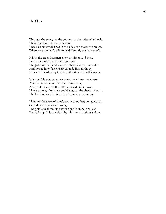#### The Clock

Through the trees, see the sobriety in the hides of animals. Their opinion is never dishonest. These are unsteady lines in the sides of a story, the creases Where one woman's tale folds differently than another's.

It is in the trees that men's leaves wither, and thus, Become closer to their new purpose. The palm of the hand is one of these leaves—look at it And notice how fairly its rivers fade into nothing, How effortlessly they fade into the skin of smaller rivers.

Is it possible that when we dreamt we dreamt we were Animals, so we could be free from shame, And could stand on the hillside naked and in love? Like a coyote, if only we could laugh at the sheets of earth, The hidden face that is earth, the greatest cemetery.

Lives are the story of time's endless and beginningless joy. Outside the opinions of trees, The gold sun allows its own insight to shine, and last For so long. It is the clock by which our truth tells time.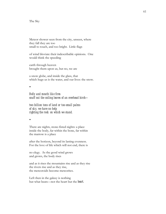The Sky

Meteor shower seen from the city, unseen, where they fall they are too small to touch, and too bright. Little flags

of wind bloviate their indescribable opinions. One would think the speeding

earth through heaven brought them upon us, but no, we are

a snow globe, and inside the glass, that which hugs us is the water, and our lives: the snow.

 $\bullet$ 

*Belly and mouth like fires snuff out the coiling leaves of an overhead birch—*

*two billion tons of land or too-small palms of sky, we have no help righting the rock on which we stand.* 

 $\bullet$ 

There are nights, stone-fisted nights: a place inside the body, far within the bone, far within the marrow is a place

after the horizon, beyond its lasting evenness. For the love of life which will not end, there is

no elegy. As the good wind grows and grows, the body rises

and as it rises the mountains rise and as they rise the rivers rise and as they rise, the meteoroids become meteorites.

Left then in the galaxy is nothing but what beats—not the heart but the *heart*.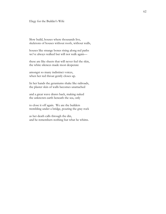#### Elegy for the Builder's Wife

Slow build, houses where thousands live, skeletons of houses without roofs, without walls,

houses like strange bones rising along red paths we've always walked but will not walk again—

these are like sheets that will never feel the skin, the white silences made most desperate

amongst so many indistinct voices, when her red throat gently closes up.

In her hands the geraniums shake like railroads, the plaster skin of walls becomes unattached

and a great wave draws back, making naked the unknown earth beneath the sea, only

to close it off again. We are the builders trembling under a bridge, pouring the gray rock

as her death calls through the din, and he remembers nothing but what he whims.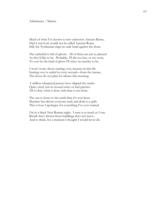#### Admittance / Mantra

Much of what I've known is now unknown: Ancient Rome, Had it survived, would not be called Ancient Rome. Still, the Tyrrhenian claps its stale hand against the shore.

The cathedral is full of ghosts. All of them are just as pleased As they'd like to be. Probably, I'll die too late, or too soon, To ever be the kind of ghost I'll strive an eternity to be.

I won't worry about starting over, because in this life Starting over is sealed in every second—from the statues, The doves do not plan for silence this morning.

A million whispered prayers have slipped the cracks. Quiet, tired, lost in crossed wires or bad patches. All is okay: what is done with time is not done.

The sun is closer to the earth than it's ever been. Daytime has driven everyone mad, and dusk is a quilt: This is how I apologize for everything I've ever wanted.

I'm in a black New Roman night. I taste it as much as I can. Breath that's blown down buildings does not move. And to think, for a moment I thought I would never die